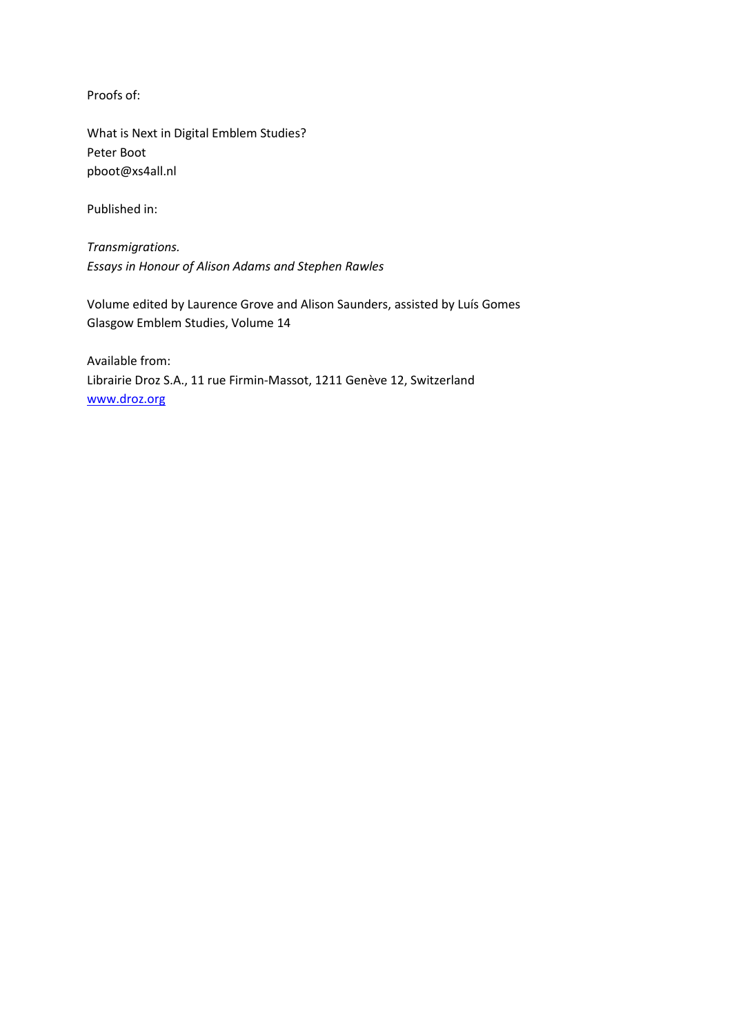Proofs of:

What is Next in Digital Emblem Studies? Peter Boot pboot@xs4all.nl

Published in:

*Transmigrations. Essays in Honour of Alison Adams and Stephen Rawles*

Volume edited by Laurence Grove and Alison Saunders, assisted by Luís Gomes Glasgow Emblem Studies, Volume 14

Available from: Librairie Droz S.A., 11 rue Firmin-Massot, 1211 Genève 12, Switzerland [www.droz.org](http://www.droz.org/)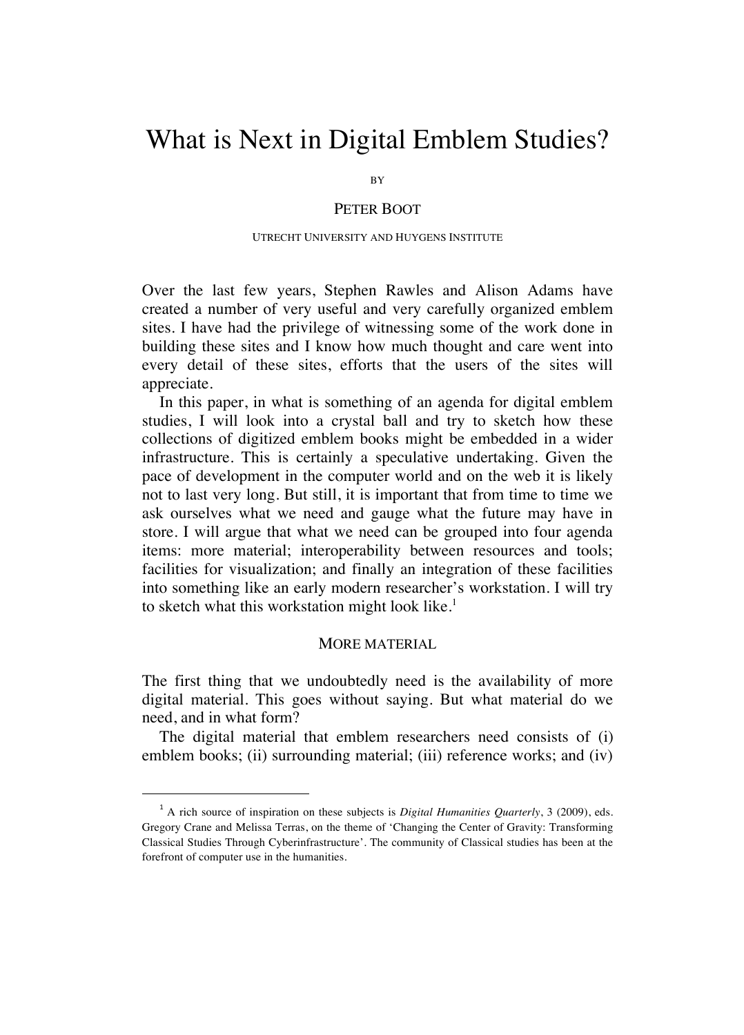# What is Next in Digital Emblem Studies?

BY

# PETER BOOT

## UTRECHT UNIVERSITY AND HUYGENS INSTITUTE

Over the last few years, Stephen Rawles and Alison Adams have created a number of very useful and very carefully organized emblem sites. I have had the privilege of witnessing some of the work done in building these sites and I know how much thought and care went into every detail of these sites, efforts that the users of the sites will appreciate.

In this paper, in what is something of an agenda for digital emblem studies, I will look into a crystal ball and try to sketch how these collections of digitized emblem books might be embedded in a wider infrastructure. This is certainly a speculative undertaking. Given the pace of development in the computer world and on the web it is likely not to last very long. But still, it is important that from time to time we ask ourselves what we need and gauge what the future may have in store. I will argue that what we need can be grouped into four agenda items: more material; interoperability between resources and tools; facilities for visualization; and finally an integration of these facilities into something like an early modern researcher's workstation. I will try to sketch what this workstation might look like. $1$ 

## MORE MATERIAL

The first thing that we undoubtedly need is the availability of more digital material. This goes without saying. But what material do we need, and in what form?

The digital material that emblem researchers need consists of (i) emblem books; (ii) surrounding material; (iii) reference works; and (iv)

 $\overline{a}$ 

<sup>1</sup> A rich source of inspiration on these subjects is *Digital Humanities Quarterly*, 3 (2009), eds. Gregory Crane and Melissa Terras, on the theme of 'Changing the Center of Gravity: Transforming Classical Studies Through Cyberinfrastructure'. The community of Classical studies has been at the forefront of computer use in the humanities.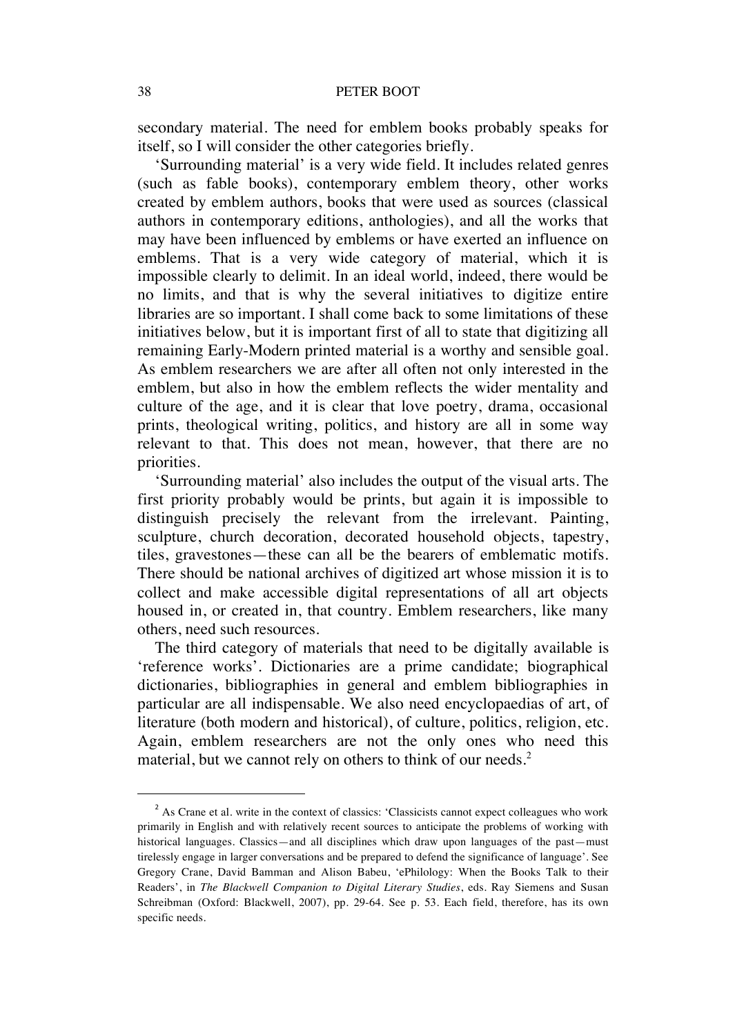secondary material. The need for emblem books probably speaks for itself, so I will consider the other categories briefly.

'Surrounding material' is a very wide field. It includes related genres (such as fable books), contemporary emblem theory, other works created by emblem authors, books that were used as sources (classical authors in contemporary editions, anthologies), and all the works that may have been influenced by emblems or have exerted an influence on emblems. That is a very wide category of material, which it is impossible clearly to delimit. In an ideal world, indeed, there would be no limits, and that is why the several initiatives to digitize entire libraries are so important. I shall come back to some limitations of these initiatives below, but it is important first of all to state that digitizing all remaining Early-Modern printed material is a worthy and sensible goal. As emblem researchers we are after all often not only interested in the emblem, but also in how the emblem reflects the wider mentality and culture of the age, and it is clear that love poetry, drama, occasional prints, theological writing, politics, and history are all in some way relevant to that. This does not mean, however, that there are no priorities.

'Surrounding material' also includes the output of the visual arts. The first priority probably would be prints, but again it is impossible to distinguish precisely the relevant from the irrelevant. Painting, sculpture, church decoration, decorated household objects, tapestry, tiles, gravestones—these can all be the bearers of emblematic motifs. There should be national archives of digitized art whose mission it is to collect and make accessible digital representations of all art objects housed in, or created in, that country. Emblem researchers, like many others, need such resources.

The third category of materials that need to be digitally available is 'reference works'. Dictionaries are a prime candidate; biographical dictionaries, bibliographies in general and emblem bibliographies in particular are all indispensable. We also need encyclopaedias of art, of literature (both modern and historical), of culture, politics, religion, etc. Again, emblem researchers are not the only ones who need this material, but we cannot rely on others to think of our needs.<sup>2</sup>

-

<sup>&</sup>lt;sup>2</sup> As Crane et al. write in the context of classics: 'Classicists cannot expect colleagues who work primarily in English and with relatively recent sources to anticipate the problems of working with historical languages. Classics—and all disciplines which draw upon languages of the past—must tirelessly engage in larger conversations and be prepared to defend the significance of language'. See Gregory Crane, David Bamman and Alison Babeu, 'ePhilology: When the Books Talk to their Readers', in *The Blackwell Companion to Digital Literary Studies*, eds. Ray Siemens and Susan Schreibman (Oxford: Blackwell, 2007), pp. 29-64. See p. 53. Each field, therefore, has its own specific needs.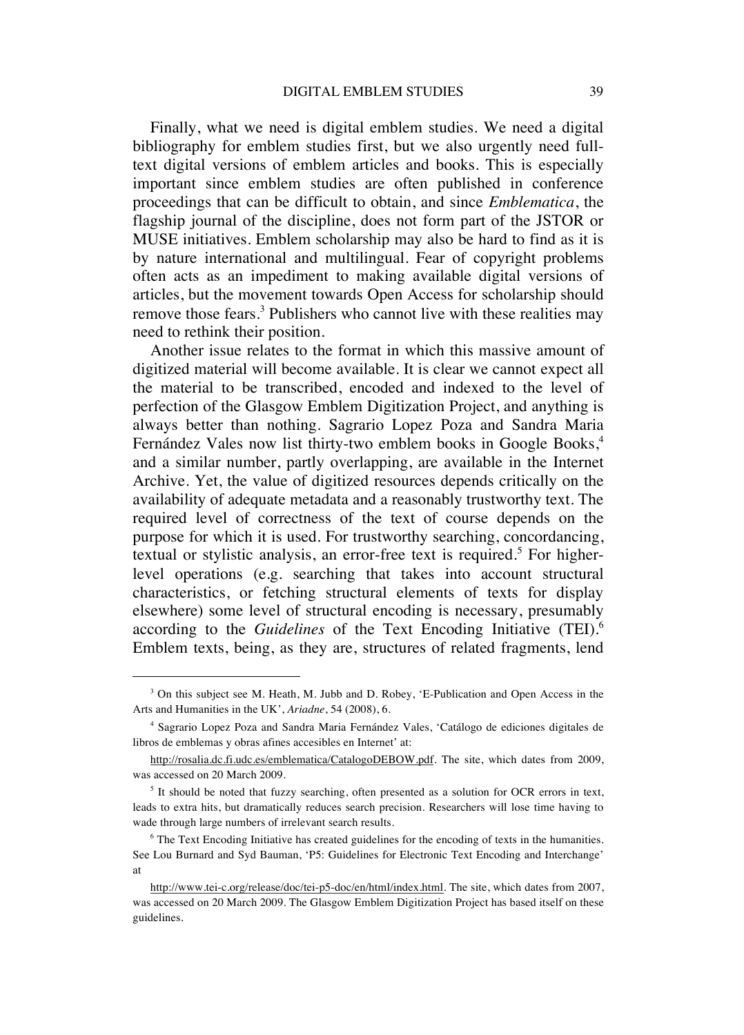Finally, what we need is digital emblem studies. We need a digital bibliography for emblem studies first, but we also urgently need fulltext digital versions of emblem articles and books. This is especially important since emblem studies are often published in conference proceedings that can be difficult to obtain, and since *Emblematica*, the flagship journal of the discipline, does not form part of the JSTOR or MUSE initiatives. Emblem scholarship may also be hard to find as it is by nature international and multilingual. Fear of copyright problems often acts as an impediment to making available digital versions of articles, but the movement towards Open Access for scholarship should remove those fears.<sup>3</sup> Publishers who cannot live with these realities may need to rethink their position.

Another issue relates to the format in which this massive amount of digitized material will become available. It is clear we cannot expect all the material to be transcribed, encoded and indexed to the level of perfection of the Glasgow Emblem Digitization Project, and anything is always better than nothing. Sagrario Lopez Poza and Sandra Maria Fernández Vales now list thirty-two emblem books in Google Books,<sup>4</sup> and a similar number, partly overlapping, are available in the Internet Archive. Yet, the value of digitized resources depends critically on the availability of adequate metadata and a reasonably trustworthy text. The required level of correctness of the text of course depends on the purpose for which it is used. For trustworthy searching, concordancing, textual or stylistic analysis, an error-free text is required.<sup>5</sup> For higherlevel operations (e.g. searching that takes into account structural characteristics, or fetching structural elements of texts for display elsewhere) some level of structural encoding is necessary, presumably according to the *Guidelines* of the Text Encoding Initiative (TEI).6 Emblem texts, being, as they are, structures of related fragments, lend

 $\overline{\phantom{0}}$ <sup>3</sup> On this subject see M. Heath, M. Jubb and D. Robey, 'E-Publication and Open Access in the Arts and Humanities in the UK', *Ariadne*, 54 (2008), 6.

<sup>4</sup> Sagrario Lopez Poza and Sandra Maria Fernández Vales, 'Catálogo de ediciones digitales de libros de emblemas y obras afines accesibles en Internet' at:

http://rosalia.dc.fi.udc.es/emblematica/CatalogoDEBOW.pdf. The site, which dates from 2009, was accessed on 20 March 2009.

<sup>&</sup>lt;sup>5</sup> It should be noted that fuzzy searching, often presented as a solution for OCR errors in text, leads to extra hits, but dramatically reduces search precision. Researchers will lose time having to wade through large numbers of irrelevant search results.

<sup>&</sup>lt;sup>6</sup> The Text Encoding Initiative has created guidelines for the encoding of texts in the humanities. See Lou Burnard and Syd Bauman, 'P5: Guidelines for Electronic Text Encoding and Interchange' at

http://www.tei-c.org/release/doc/tei-p5-doc/en/html/index.html. The site, which dates from 2007, was accessed on 20 March 2009. The Glasgow Emblem Digitization Project has based itself on these guidelines.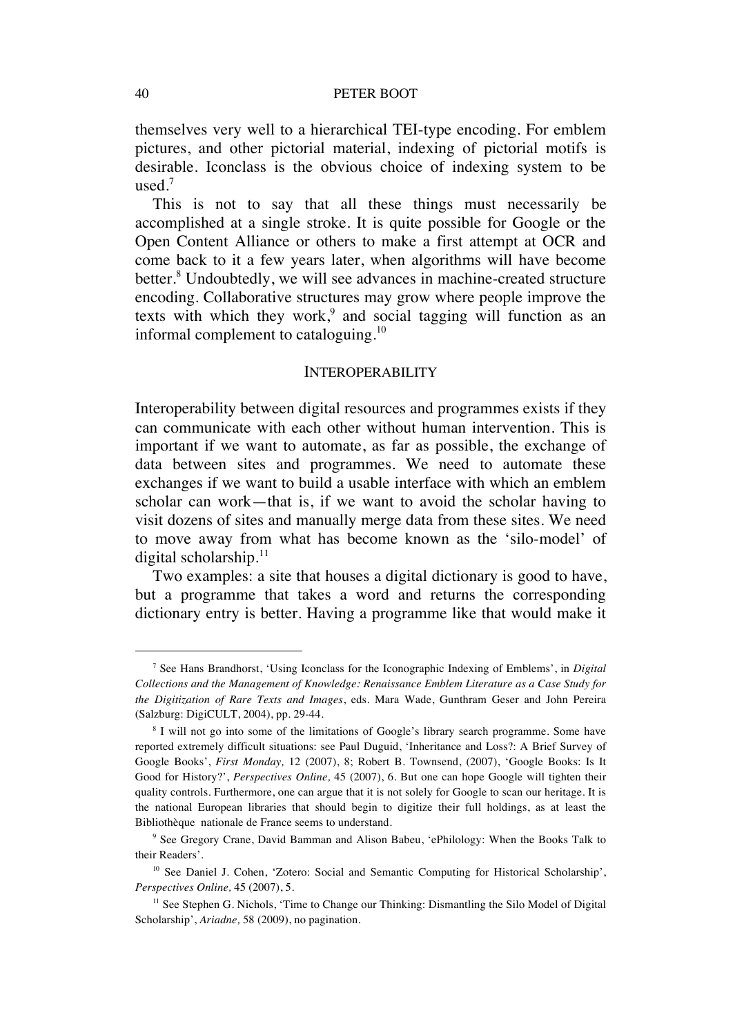themselves very well to a hierarchical TEI-type encoding. For emblem pictures, and other pictorial material, indexing of pictorial motifs is desirable. Iconclass is the obvious choice of indexing system to be used. $7$ 

This is not to say that all these things must necessarily be accomplished at a single stroke. It is quite possible for Google or the Open Content Alliance or others to make a first attempt at OCR and come back to it a few years later, when algorithms will have become better.<sup>8</sup> Undoubtedly, we will see advances in machine-created structure encoding. Collaborative structures may grow where people improve the texts with which they work,<sup>9</sup> and social tagging will function as an informal complement to cataloguing.<sup>10</sup>

## INTEROPERABILITY

Interoperability between digital resources and programmes exists if they can communicate with each other without human intervention. This is important if we want to automate, as far as possible, the exchange of data between sites and programmes. We need to automate these exchanges if we want to build a usable interface with which an emblem scholar can work—that is, if we want to avoid the scholar having to visit dozens of sites and manually merge data from these sites. We need to move away from what has become known as the 'silo-model' of digital scholarship.<sup>11</sup>

Two examples: a site that houses a digital dictionary is good to have, but a programme that takes a word and returns the corresponding dictionary entry is better. Having a programme like that would make it

 <sup>7</sup> See Hans Brandhorst, 'Using Iconclass for the Iconographic Indexing of Emblems', in *Digital Collections and the Management of Knowledge: Renaissance Emblem Literature as a Case Study for the Digitization of Rare Texts and Images*, eds. Mara Wade, Gunthram Geser and John Pereira (Salzburg: DigiCULT, 2004), pp. 29-44.

<sup>8</sup> I will not go into some of the limitations of Google's library search programme. Some have reported extremely difficult situations: see Paul Duguid, 'Inheritance and Loss?: A Brief Survey of Google Books', *First Monday,* 12 (2007), 8; Robert B. Townsend, (2007), 'Google Books: Is It Good for History?', *Perspectives Online,* 45 (2007), 6. But one can hope Google will tighten their quality controls. Furthermore, one can argue that it is not solely for Google to scan our heritage. It is the national European libraries that should begin to digitize their full holdings, as at least the Bibliothèque nationale de France seems to understand.

<sup>9</sup> See Gregory Crane, David Bamman and Alison Babeu, 'ePhilology: When the Books Talk to their Readers'.

<sup>&</sup>lt;sup>10</sup> See Daniel J. Cohen, 'Zotero: Social and Semantic Computing for Historical Scholarship', *Perspectives Online,* 45 (2007), 5.

 $<sup>11</sup>$  See Stephen G. Nichols, 'Time to Change our Thinking: Dismantling the Silo Model of Digital</sup> Scholarship', *Ariadne,* 58 (2009), no pagination.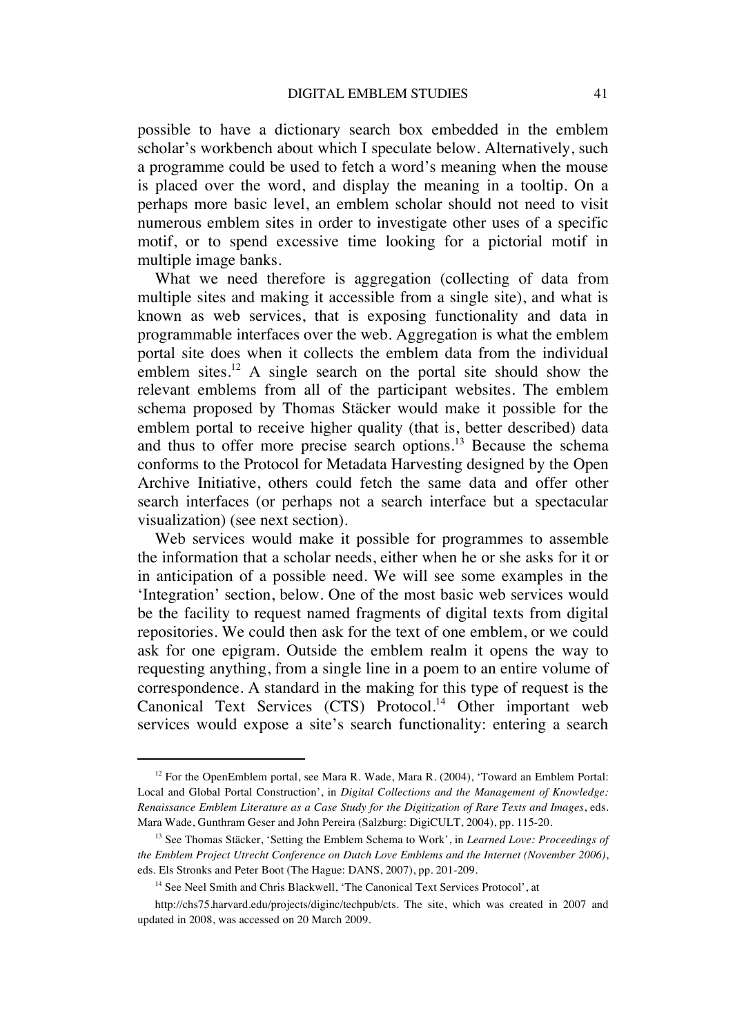possible to have a dictionary search box embedded in the emblem scholar's workbench about which I speculate below. Alternatively, such a programme could be used to fetch a word's meaning when the mouse is placed over the word, and display the meaning in a tooltip. On a perhaps more basic level, an emblem scholar should not need to visit numerous emblem sites in order to investigate other uses of a specific motif, or to spend excessive time looking for a pictorial motif in multiple image banks.

What we need therefore is aggregation (collecting of data from multiple sites and making it accessible from a single site), and what is known as web services, that is exposing functionality and data in programmable interfaces over the web. Aggregation is what the emblem portal site does when it collects the emblem data from the individual emblem sites.<sup>12</sup> A single search on the portal site should show the relevant emblems from all of the participant websites. The emblem schema proposed by Thomas Stäcker would make it possible for the emblem portal to receive higher quality (that is, better described) data and thus to offer more precise search options.<sup>13</sup> Because the schema conforms to the Protocol for Metadata Harvesting designed by the Open Archive Initiative, others could fetch the same data and offer other search interfaces (or perhaps not a search interface but a spectacular visualization) (see next section).

Web services would make it possible for programmes to assemble the information that a scholar needs, either when he or she asks for it or in anticipation of a possible need. We will see some examples in the 'Integration' section, below. One of the most basic web services would be the facility to request named fragments of digital texts from digital repositories. We could then ask for the text of one emblem, or we could ask for one epigram. Outside the emblem realm it opens the way to requesting anything, from a single line in a poem to an entire volume of correspondence. A standard in the making for this type of request is the Canonical Text Services (CTS) Protocol.<sup>14</sup> Other important web services would expose a site's search functionality: entering a search

 $12$  For the OpenEmblem portal, see Mara R. Wade, Mara R. (2004), 'Toward an Emblem Portal: Local and Global Portal Construction', in *Digital Collections and the Management of Knowledge: Renaissance Emblem Literature as a Case Study for the Digitization of Rare Texts and Images*, eds. Mara Wade, Gunthram Geser and John Pereira (Salzburg: DigiCULT, 2004), pp. 115-20.

<sup>13</sup> See Thomas Stäcker, 'Setting the Emblem Schema to Work', in *Learned Love: Proceedings of the Emblem Project Utrecht Conference on Dutch Love Emblems and the Internet (November 2006)*, eds. Els Stronks and Peter Boot (The Hague: DANS, 2007), pp. 201-209.

<sup>&</sup>lt;sup>14</sup> See Neel Smith and Chris Blackwell, 'The Canonical Text Services Protocol', at

http://chs75.harvard.edu/projects/diginc/techpub/cts. The site, which was created in 2007 and updated in 2008, was accessed on 20 March 2009.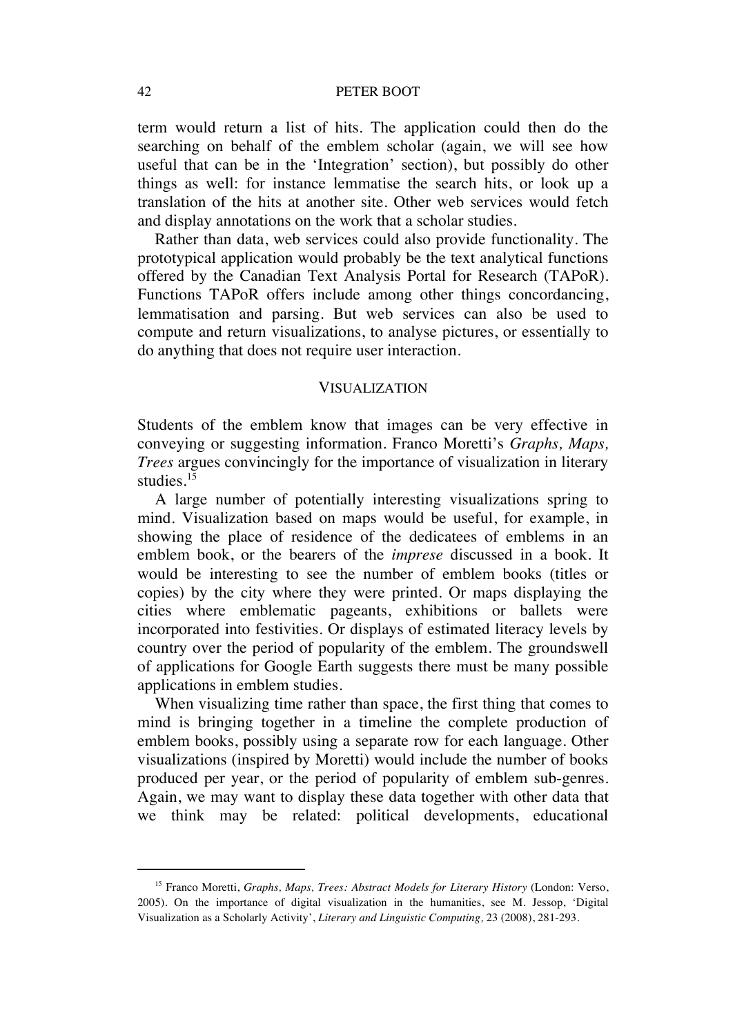term would return a list of hits. The application could then do the searching on behalf of the emblem scholar (again, we will see how useful that can be in the 'Integration' section), but possibly do other things as well: for instance lemmatise the search hits, or look up a translation of the hits at another site. Other web services would fetch and display annotations on the work that a scholar studies.

Rather than data, web services could also provide functionality. The prototypical application would probably be the text analytical functions offered by the Canadian Text Analysis Portal for Research (TAPoR). Functions TAPoR offers include among other things concordancing, lemmatisation and parsing. But web services can also be used to compute and return visualizations, to analyse pictures, or essentially to do anything that does not require user interaction.

## VISUALIZATION

Students of the emblem know that images can be very effective in conveying or suggesting information. Franco Moretti's *Graphs, Maps, Trees* argues convincingly for the importance of visualization in literary studies.<sup>15</sup>

A large number of potentially interesting visualizations spring to mind. Visualization based on maps would be useful, for example, in showing the place of residence of the dedicatees of emblems in an emblem book, or the bearers of the *imprese* discussed in a book. It would be interesting to see the number of emblem books (titles or copies) by the city where they were printed. Or maps displaying the cities where emblematic pageants, exhibitions or ballets were incorporated into festivities. Or displays of estimated literacy levels by country over the period of popularity of the emblem. The groundswell of applications for Google Earth suggests there must be many possible applications in emblem studies.

When visualizing time rather than space, the first thing that comes to mind is bringing together in a timeline the complete production of emblem books, possibly using a separate row for each language. Other visualizations (inspired by Moretti) would include the number of books produced per year, or the period of popularity of emblem sub-genres. Again, we may want to display these data together with other data that we think may be related: political developments, educational

 <sup>15</sup> Franco Moretti, *Graphs, Maps, Trees: Abstract Models for Literary History* (London: Verso, 2005). On the importance of digital visualization in the humanities, see M. Jessop, 'Digital Visualization as a Scholarly Activity', *Literary and Linguistic Computing,* 23 (2008), 281-293.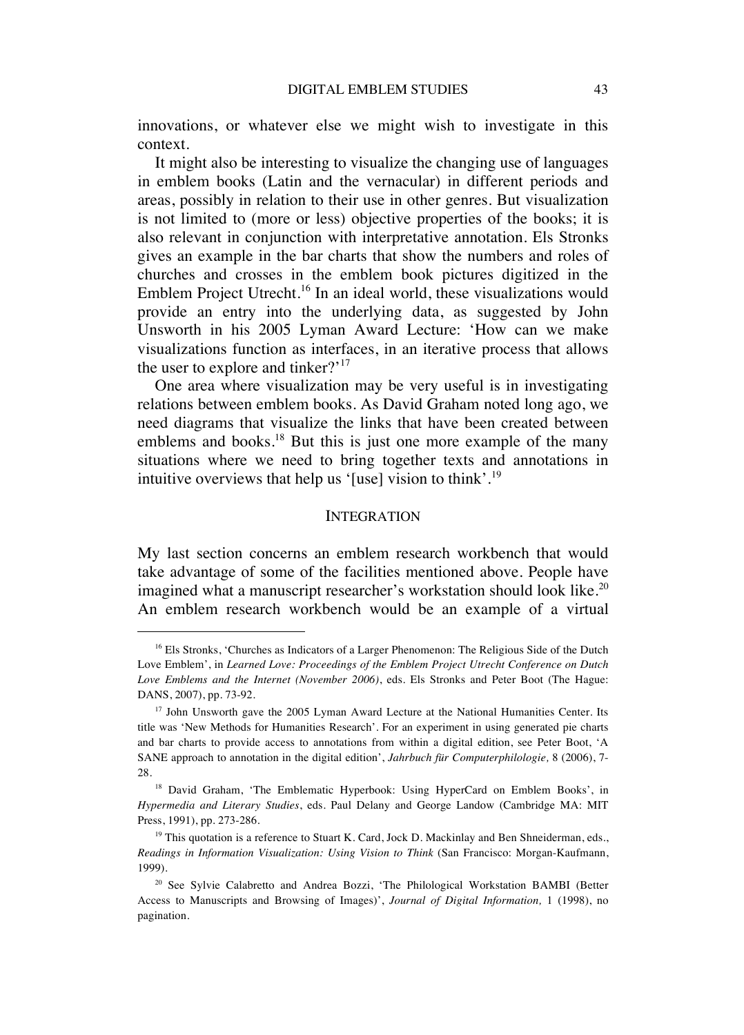innovations, or whatever else we might wish to investigate in this context.

It might also be interesting to visualize the changing use of languages in emblem books (Latin and the vernacular) in different periods and areas, possibly in relation to their use in other genres. But visualization is not limited to (more or less) objective properties of the books; it is also relevant in conjunction with interpretative annotation. Els Stronks gives an example in the bar charts that show the numbers and roles of churches and crosses in the emblem book pictures digitized in the Emblem Project Utrecht.16 In an ideal world, these visualizations would provide an entry into the underlying data, as suggested by John Unsworth in his 2005 Lyman Award Lecture: 'How can we make visualizations function as interfaces, in an iterative process that allows the user to explore and tinker? $17$ 

One area where visualization may be very useful is in investigating relations between emblem books. As David Graham noted long ago, we need diagrams that visualize the links that have been created between emblems and books.<sup>18</sup> But this is just one more example of the many situations where we need to bring together texts and annotations in intuitive overviews that help us '[use] vision to think'.19

## INTEGRATION

My last section concerns an emblem research workbench that would take advantage of some of the facilities mentioned above. People have imagined what a manuscript researcher's workstation should look like.<sup>20</sup> An emblem research workbench would be an example of a virtual

<sup>&</sup>lt;sup>16</sup> Els Stronks, 'Churches as Indicators of a Larger Phenomenon: The Religious Side of the Dutch Love Emblem', in *Learned Love: Proceedings of the Emblem Project Utrecht Conference on Dutch Love Emblems and the Internet (November 2006)*, eds. Els Stronks and Peter Boot (The Hague: DANS, 2007), pp. 73-92.

<sup>&</sup>lt;sup>17</sup> John Unsworth gave the 2005 Lyman Award Lecture at the National Humanities Center. Its title was 'New Methods for Humanities Research'. For an experiment in using generated pie charts and bar charts to provide access to annotations from within a digital edition, see Peter Boot, 'A SANE approach to annotation in the digital edition', *Jahrbuch für Computerphilologie,* 8 (2006), 7- 28.

<sup>&</sup>lt;sup>18</sup> David Graham, 'The Emblematic Hyperbook: Using HyperCard on Emblem Books', in *Hypermedia and Literary Studies*, eds. Paul Delany and George Landow (Cambridge MA: MIT Press, 1991), pp. 273-286.

<sup>&</sup>lt;sup>19</sup> This quotation is a reference to Stuart K. Card, Jock D. Mackinlay and Ben Shneiderman, eds., *Readings in Information Visualization: Using Vision to Think* (San Francisco: Morgan-Kaufmann, 1999).

<sup>&</sup>lt;sup>20</sup> See Sylvie Calabretto and Andrea Bozzi, 'The Philological Workstation BAMBI (Better Access to Manuscripts and Browsing of Images)', *Journal of Digital Information,* 1 (1998), no pagination.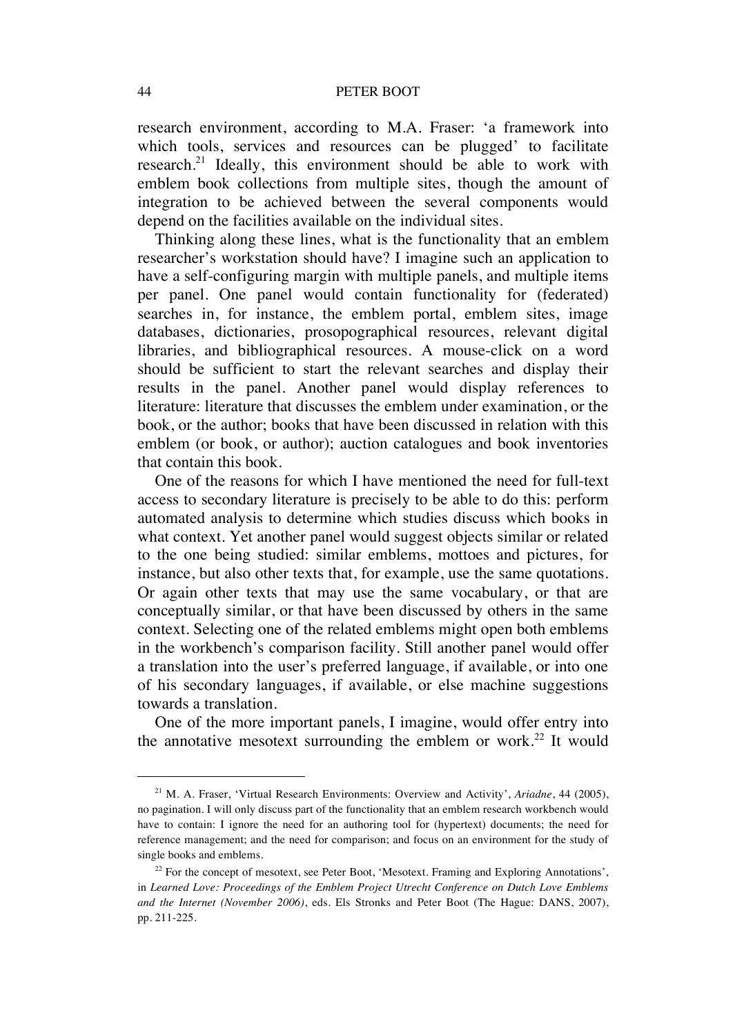research environment, according to M.A. Fraser: 'a framework into which tools, services and resources can be plugged' to facilitate research.<sup>21</sup> Ideally, this environment should be able to work with emblem book collections from multiple sites, though the amount of integration to be achieved between the several components would depend on the facilities available on the individual sites.

Thinking along these lines, what is the functionality that an emblem researcher's workstation should have? I imagine such an application to have a self-configuring margin with multiple panels, and multiple items per panel. One panel would contain functionality for (federated) searches in, for instance, the emblem portal, emblem sites, image databases, dictionaries, prosopographical resources, relevant digital libraries, and bibliographical resources. A mouse-click on a word should be sufficient to start the relevant searches and display their results in the panel. Another panel would display references to literature: literature that discusses the emblem under examination, or the book, or the author; books that have been discussed in relation with this emblem (or book, or author); auction catalogues and book inventories that contain this book.

One of the reasons for which I have mentioned the need for full-text access to secondary literature is precisely to be able to do this: perform automated analysis to determine which studies discuss which books in what context. Yet another panel would suggest objects similar or related to the one being studied: similar emblems, mottoes and pictures, for instance, but also other texts that, for example, use the same quotations. Or again other texts that may use the same vocabulary, or that are conceptually similar, or that have been discussed by others in the same context. Selecting one of the related emblems might open both emblems in the workbench's comparison facility. Still another panel would offer a translation into the user's preferred language, if available, or into one of his secondary languages, if available, or else machine suggestions towards a translation.

One of the more important panels, I imagine, would offer entry into the annotative mesotext surrounding the emblem or work.<sup>22</sup> It would

 <sup>21</sup> M. A. Fraser, 'Virtual Research Environments: Overview and Activity', *Ariadne*, 44 (2005), no pagination. I will only discuss part of the functionality that an emblem research workbench would have to contain: I ignore the need for an authoring tool for (hypertext) documents; the need for reference management; and the need for comparison; and focus on an environment for the study of single books and emblems.

<sup>&</sup>lt;sup>22</sup> For the concept of mesotext, see Peter Boot, 'Mesotext. Framing and Exploring Annotations', in *Learned Love: Proceedings of the Emblem Project Utrecht Conference on Dutch Love Emblems and the Internet (November 2006)*, eds. Els Stronks and Peter Boot (The Hague: DANS, 2007), pp. 211-225.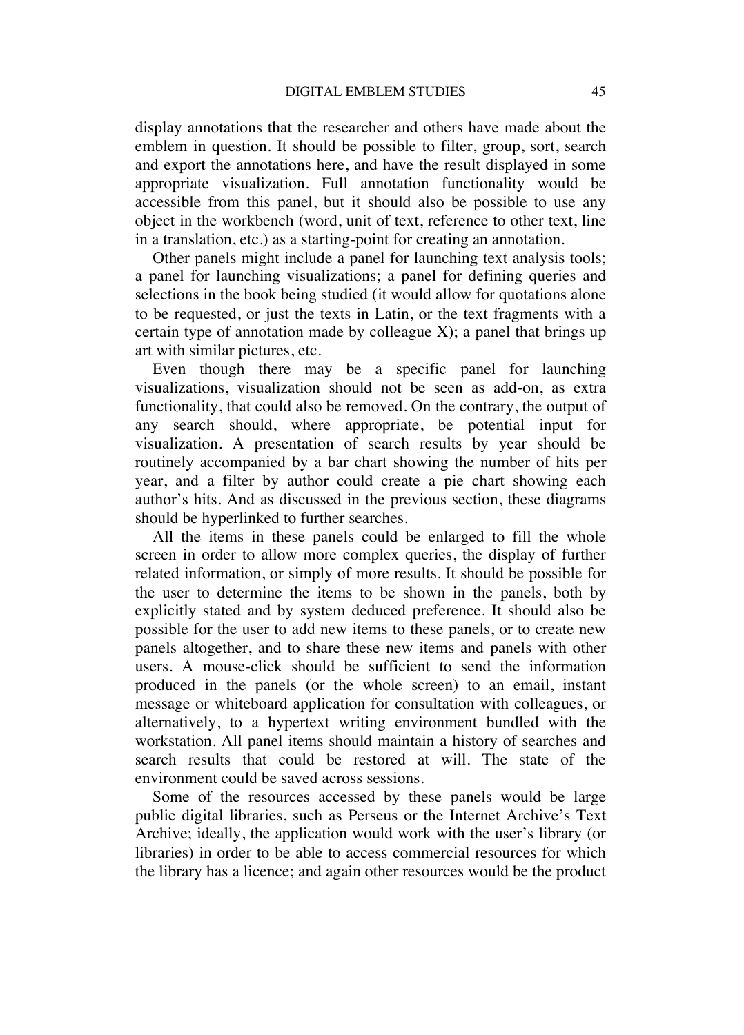display annotations that the researcher and others have made about the emblem in question. It should be possible to filter, group, sort, search and export the annotations here, and have the result displayed in some appropriate visualization. Full annotation functionality would be accessible from this panel, but it should also be possible to use any object in the workbench (word, unit of text, reference to other text, line in a translation, etc.) as a starting-point for creating an annotation.

Other panels might include a panel for launching text analysis tools; a panel for launching visualizations; a panel for defining queries and selections in the book being studied (it would allow for quotations alone to be requested, or just the texts in Latin, or the text fragments with a certain type of annotation made by colleague  $X$ ); a panel that brings up art with similar pictures, etc.

Even though there may be a specific panel for launching visualizations, visualization should not be seen as add-on, as extra functionality, that could also be removed. On the contrary, the output of any search should, where appropriate, be potential input for visualization. A presentation of search results by year should be routinely accompanied by a bar chart showing the number of hits per year, and a filter by author could create a pie chart showing each author's hits. And as discussed in the previous section, these diagrams should be hyperlinked to further searches.

All the items in these panels could be enlarged to fill the whole screen in order to allow more complex queries, the display of further related information, or simply of more results. It should be possible for the user to determine the items to be shown in the panels, both by explicitly stated and by system deduced preference. It should also be possible for the user to add new items to these panels, or to create new panels altogether, and to share these new items and panels with other users. A mouse-click should be sufficient to send the information produced in the panels (or the whole screen) to an email, instant message or whiteboard application for consultation with colleagues, or alternatively, to a hypertext writing environment bundled with the workstation. All panel items should maintain a history of searches and search results that could be restored at will. The state of the environment could be saved across sessions.

Some of the resources accessed by these panels would be large public digital libraries, such as Perseus or the Internet Archive's Text Archive; ideally, the application would work with the user's library (or libraries) in order to be able to access commercial resources for which the library has a licence; and again other resources would be the product